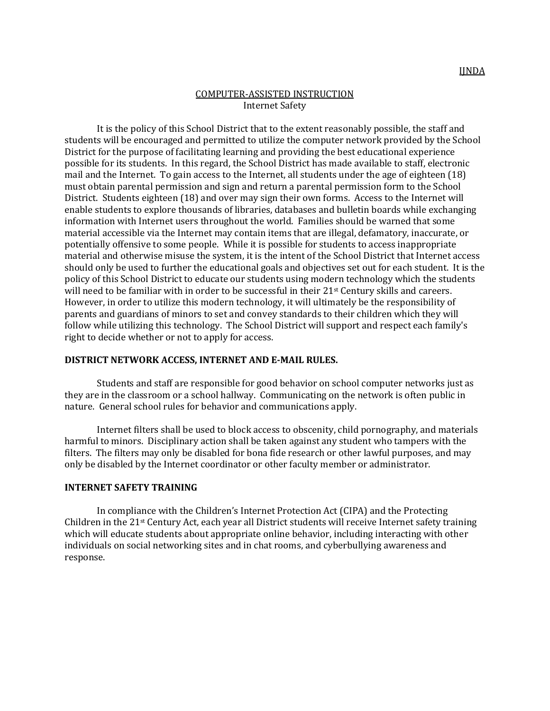## COMPUTER-ASSISTED INSTRUCTION Internet Safety

It is the policy of this School District that to the extent reasonably possible, the staff and students will be encouraged and permitted to utilize the computer network provided by the School District for the purpose of facilitating learning and providing the best educational experience possible for its students. In this regard, the School District has made available to staff, electronic mail and the Internet. To gain access to the Internet, all students under the age of eighteen (18) must obtain parental permission and sign and return a parental permission form to the School District. Students eighteen (18) and over may sign their own forms. Access to the Internet will enable students to explore thousands of libraries, databases and bulletin boards while exchanging information with Internet users throughout the world. Families should be warned that some material accessible via the Internet may contain items that are illegal, defamatory, inaccurate, or potentially offensive to some people. While it is possible for students to access inappropriate material and otherwise misuse the system, it is the intent of the School District that Internet access should only be used to further the educational goals and objectives set out for each student. It is the policy of this School District to educate our students using modern technology which the students will need to be familiar with in order to be successful in their 21<sup>st</sup> Century skills and careers. However, in order to utilize this modern technology, it will ultimately be the responsibility of parents and guardians of minors to set and convey standards to their children which they will follow while utilizing this technology. The School District will support and respect each family's right to decide whether or not to apply for access.

## **DISTRICT NETWORK ACCESS, INTERNET AND E-MAIL RULES.**

Students and staff are responsible for good behavior on school computer networks just as they are in the classroom or a school hallway. Communicating on the network is often public in nature. General school rules for behavior and communications apply.

Internet filters shall be used to block access to obscenity, child pornography, and materials harmful to minors. Disciplinary action shall be taken against any student who tampers with the filters. The filters may only be disabled for bona fide research or other lawful purposes, and may only be disabled by the Internet coordinator or other faculty member or administrator.

## **INTERNET SAFETY TRAINING**

In compliance with the Children's Internet Protection Act (CIPA) and the Protecting Children in the 21st Century Act, each year all District students will receive Internet safety training which will educate students about appropriate online behavior, including interacting with other individuals on social networking sites and in chat rooms, and cyberbullying awareness and response.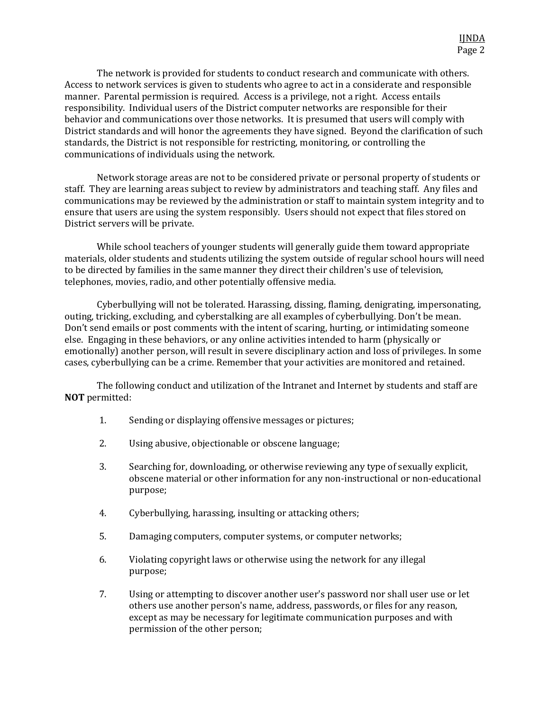The network is provided for students to conduct research and communicate with others. Access to network services is given to students who agree to act in a considerate and responsible manner. Parental permission is required. Access is a privilege, not a right. Access entails responsibility. Individual users of the District computer networks are responsible for their behavior and communications over those networks. It is presumed that users will comply with District standards and will honor the agreements they have signed. Beyond the clarification of such standards, the District is not responsible for restricting, monitoring, or controlling the communications of individuals using the network.

Network storage areas are not to be considered private or personal property of students or staff. They are learning areas subject to review by administrators and teaching staff. Any files and communications may be reviewed by the administration or staff to maintain system integrity and to ensure that users are using the system responsibly. Users should not expect that files stored on District servers will be private.

While school teachers of younger students will generally guide them toward appropriate materials, older students and students utilizing the system outside of regular school hours will need to be directed by families in the same manner they direct their children's use of television, telephones, movies, radio, and other potentially offensive media.

Cyberbullying will not be tolerated. Harassing, dissing, flaming, denigrating, impersonating, outing, tricking, excluding, and cyberstalking are all examples of cyberbullying. Don't be mean. Don't send emails or post comments with the intent of scaring, hurting, or intimidating someone else. Engaging in these behaviors, or any online activities intended to harm (physically or emotionally) another person, will result in severe disciplinary action and loss of privileges. In some cases, cyberbullying can be a crime. Remember that your activities are monitored and retained.

The following conduct and utilization of the Intranet and Internet by students and staff are **NOT** permitted:

- 1. Sending or displaying offensive messages or pictures;
- 2. Using abusive, objectionable or obscene language;
- 3. Searching for, downloading, or otherwise reviewing any type of sexually explicit, obscene material or other information for any non-instructional or non-educational purpose;
- 4. Cyberbullying, harassing, insulting or attacking others;
- 5. Damaging computers, computer systems, or computer networks;
- 6. Violating copyright laws or otherwise using the network for any illegal purpose;
- 7. Using or attempting to discover another user's password nor shall user use or let others use another person's name, address, passwords, or files for any reason, except as may be necessary for legitimate communication purposes and with permission of the other person;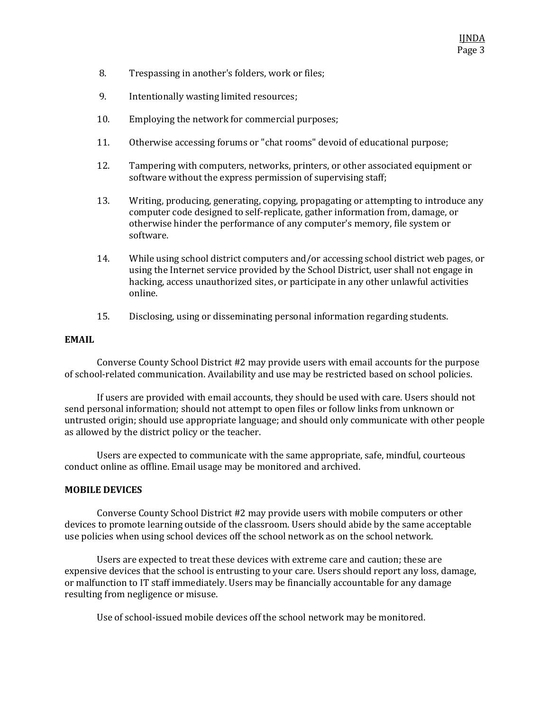- 8. Trespassing in another's folders, work or files;
- 9. Intentionally wasting limited resources;
- 10. Employing the network for commercial purposes;
- 11. Otherwise accessing forums or "chat rooms" devoid of educational purpose;
- 12. Tampering with computers, networks, printers, or other associated equipment or software without the express permission of supervising staff;
- 13. Writing, producing, generating, copying, propagating or attempting to introduce any computer code designed to self-replicate, gather information from, damage, or otherwise hinder the performance of any computer's memory, file system or software.
- 14. While using school district computers and/or accessing school district web pages, or using the Internet service provided by the School District, user shall not engage in hacking, access unauthorized sites, or participate in any other unlawful activities online.
- 15. Disclosing, using or disseminating personal information regarding students.

#### **EMAIL**

Converse County School District #2 may provide users with email accounts for the purpose of school-related communication. Availability and use may be restricted based on school policies.

If users are provided with email accounts, they should be used with care. Users should not send personal information; should not attempt to open files or follow links from unknown or untrusted origin; should use appropriate language; and should only communicate with other people as allowed by the district policy or the teacher.

Users are expected to communicate with the same appropriate, safe, mindful, courteous conduct online as offline. Email usage may be monitored and archived.

## **MOBILE DEVICES**

Converse County School District #2 may provide users with mobile computers or other devices to promote learning outside of the classroom. Users should abide by the same acceptable use policies when using school devices off the school network as on the school network.

Users are expected to treat these devices with extreme care and caution; these are expensive devices that the school is entrusting to your care. Users should report any loss, damage, or malfunction to IT staff immediately. Users may be financially accountable for any damage resulting from negligence or misuse.

Use of school-issued mobile devices off the school network may be monitored.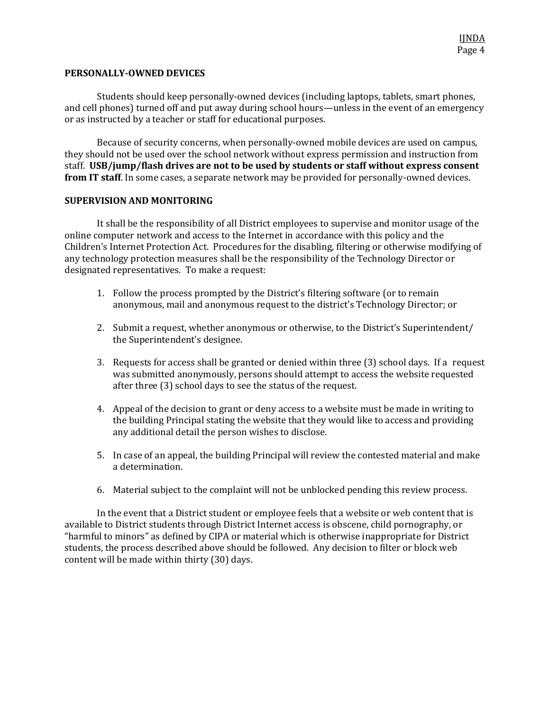## **PERSONALLY-OWNED DEVICES**

Students should keep personally-owned devices (including laptops, tablets, smart phones, and cell phones) turned off and put away during school hours—unless in the event of an emergency or as instructed by a teacher or staff for educational purposes.

Because of security concerns, when personally-owned mobile devices are used on campus, they should not be used over the school network without express permission and instruction from staff. **USB/jump/flash drives are not to be used by students or staff without express consent from IT staff**. In some cases, a separate network may be provided for personally-owned devices.

# **SUPERVISION AND MONITORING**

It shall be the responsibility of all District employees to supervise and monitor usage of the online computer network and access to the Internet in accordance with this policy and the Children's Internet Protection Act. Procedures for the disabling, filtering or otherwise modifying of any technology protection measures shall be the responsibility of the Technology Director or designated representatives. To make a request:

- 1. Follow the process prompted by the District's filtering software (or to remain anonymous, mail and anonymous request to the district's Technology Director; or
- 2. Submit a request, whether anonymous or otherwise, to the District's Superintendent/ the Superintendent's designee.
- 3. Requests for access shall be granted or denied within three (3) school days. If a request was submitted anonymously, persons should attempt to access the website requested after three (3) school days to see the status of the request.
- 4. Appeal of the decision to grant or deny access to a website must be made in writing to the building Principal stating the website that they would like to access and providing any additional detail the person wishes to disclose.
- 5. In case of an appeal, the building Principal will review the contested material and make a determination.
- 6. Material subject to the complaint will not be unblocked pending this review process.

In the event that a District student or employee feels that a website or web content that is available to District students through District Internet access is obscene, child pornography, or "harmful to minors" as defined by CIPA or material which is otherwise inappropriate for District students, the process described above should be followed. Any decision to filter or block web content will be made within thirty (30) days.